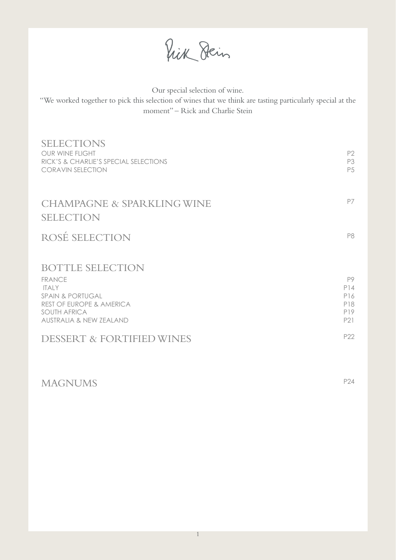Prik Dein

Our special selection of wine.

"We worked together to pick this selection of wines that we think are tasting particularly special at the moment" – Rick and Charlie Stein

| <b>SELECTIONS</b><br>OUR WINE FLIGHT<br>RICK'S & CHARLIE'S SPECIAL SELECTIONS<br><b>CORAVIN SELECTION</b>                                                                        | P <sub>2</sub><br>P3<br>P <sub>5</sub> |
|----------------------------------------------------------------------------------------------------------------------------------------------------------------------------------|----------------------------------------|
| <b>CHAMPAGNE &amp; SPARKLING WINE</b><br><b>SELECTION</b>                                                                                                                        | P7                                     |
| ROSÉ SELECTION                                                                                                                                                                   | P8                                     |
| <b>BOTTLE SELECTION</b><br><b>FRANCE</b><br><b>ITAIY</b><br><b>SPAIN &amp; PORTUGAL</b><br><b>REST OF EUROPE &amp; AMERICA</b><br><b>SOUTH AFRICA</b><br>AUSTRALIA & NEW ZEALAND | P9<br>P14<br>P16<br>P18<br>P19<br>P21  |
| <b>DESSERT &amp; FORTIFIED WINES</b>                                                                                                                                             | P22                                    |

# MAGNUMS P24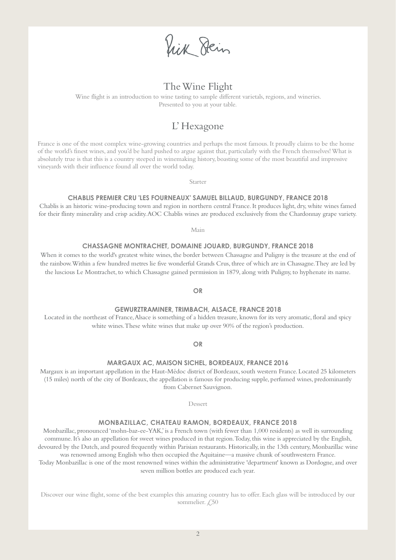Vick Dein

# The Wine Flight

Wine flight is an introduction to wine tasting to sample different varietals, regions,and wineries. Presented to you at your table.

# L' Hexagone

France is one of the most complex wine-growing countries and perhaps the most famous. It proudly claims to be the home of the world's finest wines, and you'd be hard pushed to argue against that, particularly with the French themselves! What is absolutely true is that this is a country steeped in winemaking history, boasting some of the most beautiful and impressive vineyards with their influence found all over the world today.

Starter

#### **CHABLIS PREMIER CRU 'LES FOURNEAUX' SAMUEL BILLAUD, BURGUNDY, FRANCE 2018**

Chablis is an historic wine-producing town and region in northern central France. It produces light, dry, white wines famed for their flinty minerality and crisp acidity. AOC Chablis wines are produced exclusively from the Chardonnay grape variety.

Main

#### **CHASSAGNE MONTRACHET, DOMAINE JOUARD, BURGUNDY, FRANCE 2018**

When it comes to the world's greatest white wines, the border between Chassagne and Puligny is the treasure at the end of the rainbow. Within a few hundred metres lie five wonderful Grands Crus, three of which are in Chassagne. They are led by the luscious Le Montrachet, to which Chassagne gained permission in 1879, along with Puligny, to hyphenate its name.

**OR**

#### **GEWURZTRAMINER, TRIMBACH, ALSACE, FRANCE 2018**

Located in the northeast of France,Alsace is something of a hidden treasure, known for its very aromatic, floral and spicy white wines.These white wines that make up over 90% of the region's production.

**OR**

#### **MARGAUX AC, MAISON SICHEL, BORDEAUX, FRANCE 2016**

Margaux is an important appellation in the Haut-Médoc district of Bordeaux, south western France. Located 25 kilometers (15 miles) north of the city of Bordeaux, the appellation is famous for producing supple, perfumed wines, predominantly from Cabernet Sauvignon.

Dessert

#### **MONBAZILLAC, CHATEAU RAMON, BORDEAUX, FRANCE 2018**

Monbazillac, pronounced 'mohn-baz-ee-YAK,' is a French town (with fewer than 1,000 residents) as well its surrounding commune. It's also an appellation for sweet wines produced in that region. Today, this wine is appreciated by the English, devoured by the Dutch, and poured frequently within Parisian restaurants. Historically, in the 13th century, Monbazillac wine was renowned among English who then occupied the Aquitaine—a massive chunk of southwestern France.

Today Monbazillac is one of the most renowned wines within the administrative 'department' known as Dordogne, and over seven million bottles are produced each year.

Discover our wine flight, some of the best examples this amazing country has to offer. Each glass will be introduced by our sommelier.  $\angle 50$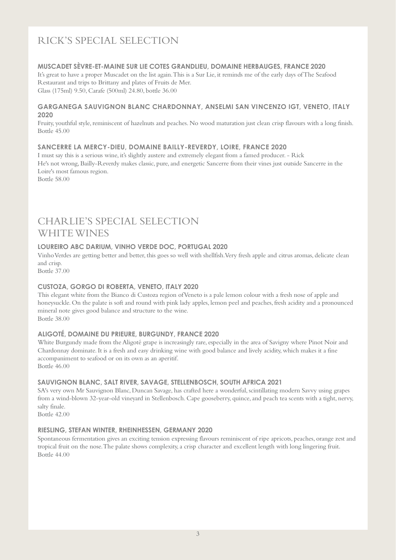# RICK'S SPECIAL SELECTION

#### **MUSCADET SÈVRE-ET-MAINE SUR LIE COTES GRANDLIEU, DOMAINE HERBAUGES, FRANCE 2020**

It's great to have a proper Muscadet on the list again. This is a Sur Lie, it reminds me of the early days of The Seafood Restaurant and trips to Brittany and plates of Fruits de Mer. Glass (175ml) 9.50, Carafe (500ml) 24.80, bottle 36.00

#### **GARGANEGA SAUVIGNON BLANC CHARDONNAY, ANSELMI SAN VINCENZO IGT, VENETO, ITALY 2020**

Fruity, youthful style, reminiscent of hazelnuts and peaches. No wood maturation just clean crisp flavours with a long finish. Bottle 45.00

#### **SANCERRE LA MERCY-DIEU, DOMAINE BAILLY-REVERDY, LOIRE, FRANCE 2020**

I must say this is a serious wine, it's slightly austere and extremely elegant from a famed producer. - Rick He's not wrong, Bailly-Reverdy makes classic, pure, and energetic Sancerre from their vines just outside Sancerre in the Loire's most famous region.

Bottle 58.00

# CHARLIE'S SPECIAL SELECTION WHITE WINES

### **LOUREIRO ABC DARIUM, VINHO VERDE DOC, PORTUGAL 2020**

Vinho Verdes are getting better and better, this goes so well with shellfish. Very fresh apple and citrus aromas, delicate clean and crisp.

Bottle 37.00

### **CUSTOZA, GORGO DI ROBERTA, VENETO, ITALY 2020**

This elegant white from the Bianco di Custoza region ofVeneto is a pale lemon colour with a fresh nose of apple and honeysuckle. On the palate is soft and round with pink lady apples, lemon peel and peaches, fresh acidity and a pronounced mineral note gives good balance and structure to the wine. Bottle 38.00

### **ALIGOTÉ, DOMAINE DU PRIEURE, BURGUNDY, FRANCE 2020**

White Burgundy made from the Aligoté grape is increasingly rare, especially in the area of Savigny where Pinot Noir and Chardonnay dominate. It is a fresh and easy drinking wine with good balance and lively acidity, which makes it a fine accompaniment to seafood or on its own as an aperitif. Bottle 46.00

### **SAUVIGNON BLANC, SALT RIVER, SAVAGE, STELLENBOSCH, SOUTH AFRICA 2021**

SA's very own Mr Sauvignon Blanc, Duncan Savage, has crafted here a wonderful, scintillating modern Savvy using grapes from a wind-blown 32-year-old vineyard in Stellenbosch. Cape gooseberry, quince, and peach tea scents with a tight, nervy, salty finale.

Bottle 42.00

#### **RIESLING, STEFAN WINTER, RHEINHESSEN, GERMANY 2020**

Spontaneous fermentation gives an exciting tension expressing flavours reminiscent of ripe apricots, peaches, orange zest and tropical fruit on the nose. The palate shows complexity, a crisp character and excellent length with long lingering fruit. Bottle 44.00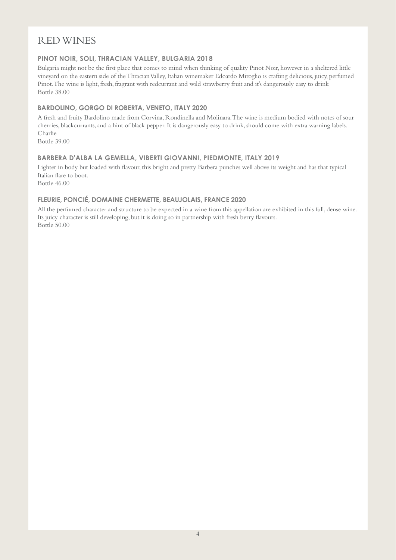# RED WINES

# **PINOT NOIR, SOLI, THRACIAN VALLEY, BULGARIA 2018**

Bulgaria might not be the first place that comes to mind when thinking of quality Pinot Noir, however in a sheltered little vineyard on the eastern side of the Thracian Valley, Italian winemaker Edoardo Miroglio is crafting delicious, juicy, perfumed Pinot. The wine is light, fresh, fragrant with redcurrant and wild strawberry fruit and it's dangerously easy to drink Bottle 38.00

### **BARDOLINO, GORGO DI ROBERTA, VENETO, ITALY 2020**

A fresh and fruity Bardolino made from Corvina, Rondinella and Molinara. The wine is medium bodied with notes of sour cherries, blackcurrants,and a hint of black pepper. It is dangerously easy to drink, should come with extra warning labels. - Charlie

Bottle 39.00

#### **BARBERA D'ALBA LA GEMELLA, VIBERTI GIOVANNI, PIEDMONTE, ITALY 2019**

Lighter in body but loaded with flavour, this bright and pretty Barbera punches well above its weight and has that typical Italian flare to boot.

Bottle 46.00

### **FLEURIE, PONCIÉ, DOMAINE CHERMETTE, BEAUJOLAIS, FRANCE 2020**

All the perfumed character and structure to be expected in a wine from this appellation are exhibited in this full, dense wine. Its juicy character is still developing, but it is doing so in partnership with fresh berry flavours. Bottle 50.00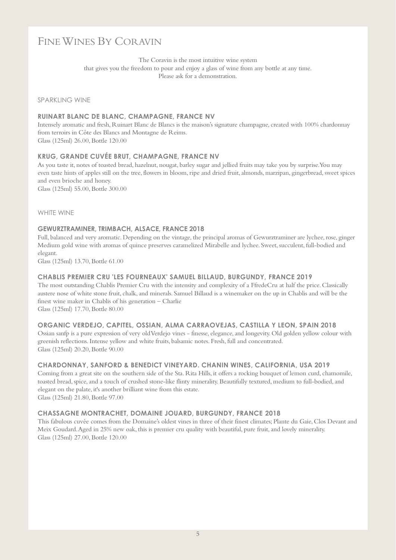# FINE WINES BY CORAVIN

The Coravin is the most intuitive wine system that gives you the freedom to pour and enjoy a glass of wine from any bottle at any time. Please ask for a demonstration.

#### SPARKLING WINE

#### **RUINART BLANC DE BLANC, CHAMPAGNE, FRANCE NV**

Intensely aromatic and fresh, Ruinart Blanc de Blancs is the maison's signature champagne, created with 100% chardonnay from terroirs in Côte des Blancs and Montagne de Reims. Glass (125ml) 26.00, Bottle 120.00

#### **KRUG, GRANDE CUVÉE BRUT, CHAMPAGNE, FRANCE NV**

As you taste it, notes of toasted bread, hazelnut, nougat, barley sugar and jellied fruits may take you by surprise. You may even taste hints of apples still on the tree, flowers in bloom, ripe and dried fruit, almonds, marzipan, gingerbread, sweet spices and even brioche and honey.

Glass (125ml) 55.00, Bottle 300.00

#### WHITE WINE

#### **GEWURZTRAMINER, TRIMBACH, ALSACE, FRANCE 2018**

Full, balanced and very aromatic. Depending on the vintage, the principal aromas of Gewurztraminer are lychee, rose, ginger Medium gold wine with aromas of quince preserves caramelized Mirabelle and lychee. Sweet, succulent, full-bodied and elegant.

Glass (125ml) 13.70, Bottle 61.00

#### **CHABLIS PREMIER CRU 'LES FOURNEAUX' SAMUEL BILLAUD, BURGUNDY, FRANCE 2019**

The most outstanding Chablis Premier Cru with the intensity and complexity of a FfredeCru at half the price. Classically austere nose of white stone fruit, chalk,and minerals. Samuel Billaud is a winemaker on the up in Chablis and will be the finest wine maker in Chablis of his generation – Charlie

Glass (125ml) 17.70, Bottle 80.00

#### **ORGANIC VERDEJO, CAPITEL, OSSIAN, ALMA CARRAOVEJAS, CASTILLA Y LEON, SPAIN 2018**

Ossian sanfp is a pure expression of very old Verdejo vines - finesse, elegance,and longevity. Old golden yellow colour with greenish reflections. Intense yellow and white fruits, balsamic notes. Fresh, full and concentrated. Glass (125ml) 20.20, Bottle 90.00

#### **CHARDONNAY, SANFORD & BENEDICT VINEYARD. CHANIN WINES, CALIFORNIA, USA 2019**

Coming from a great site on the southern side of the Sta. Rita Hills, it offers a rocking bouquet of lemon curd, chamomile, toasted bread, spice, and a touch of crushed stone-like flinty minerality. Beautifully textured, medium to full-bodied, and elegant on the palate, it's another brilliant wine from this estate.

Glass (125ml) 21.80, Bottle 97.00

#### **CHASSAGNE MONTRACHET, DOMAINE JOUARD, BURGUNDY, FRANCE 2018**

This fabulous cuvée comes from the Domaine's oldest vines in three of their finest climates; Plante du Gaie, Clos Devant and Meix Goudard. Aged in 25% new oak, this is premier cru quality with beautiful, pure fruit, and lovely minerality. Glass (125ml) 27.00, Bottle 120.00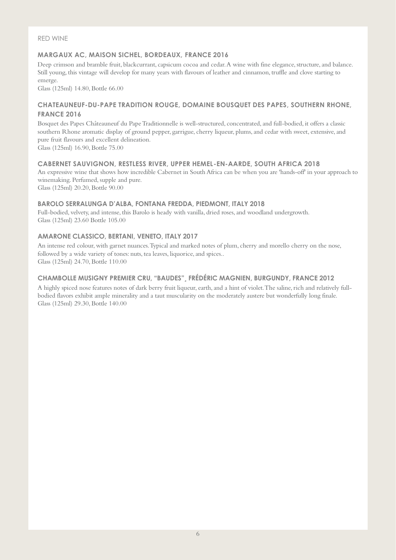#### RED WINE

# **MARGAUX AC, MAISON SICHEL, BORDEAUX, FRANCE 2016**

Deep crimson and bramble fruit, blackcurrant, capsicum cocoa and cedar. A wine with fine elegance, structure, and balance. Still young, this vintage will develop for many years with flavours of leather and cinnamon, truffle and clove starting to emerge.

Glass (125ml) 14.80, Bottle 66.00

# **CHATEAUNEUF-DU-PAPE TRADITION ROUGE, DOMAINE BOUSQUET DES PAPES, SOUTHERN RHONE, FRANCE 2016**

Bosquet des Papes Châteauneuf du Pape Traditionnelle is well-structured, concentrated, and full-bodied, it offers a classic southern Rhone aromatic display of ground pepper, garrigue, cherry liqueur, plums, and cedar with sweet, extensive, and pure fruit flavours and excellent delineation.

Glass (125ml) 16.90, Bottle 75.00

# **CABERNET SAUVIGNON, RESTLESS RIVER, UPPER HEMEL-EN-AARDE, SOUTH AFRICA 2018**

An expressive wine that shows how incredible Cabernet in South Africa can be when you are 'hands-off' in your approach to winemaking. Perfumed, supple and pure.

Glass (125ml) 20.20, Bottle 90.00

### **BAROLO SERRALUNGA D'ALBA, FONTANA FREDDA, PIEDMONT, ITALY 2018**

Full-bodied, velvety, and intense, this Barolo is heady with vanilla, dried roses, and woodland undergrowth. Glass (125ml) 23.60 Bottle 105.00

# **AMARONE CLASSICO, BERTANI, VENETO, ITALY 2017**

An intense red colour, with garnet nuances. Typical and marked notes of plum, cherry and morello cherry on the nose, followed by a wide variety of tones: nuts, tea leaves, liquorice, and spices.. Glass (125ml) 24.70, Bottle 110.00

# **CHAMBOLLE MUSIGNY PREMIER CRU, "BAUDES"¸ [FRÉDÉRIC MAGNIEN,](http://www.frederic-magnien.com/actualites.php?lg=2) BURGUNDY, FRANCE 2012**

A highly spiced nose features notes of dark berry fruit liqueur, earth, and a hint of violet. The saline, rich and relatively fullbodied flavors exhibit ample minerality and a taut muscularity on the moderately austere but wonderfully long finale. Glass (125ml) 29.30, Bottle 140.00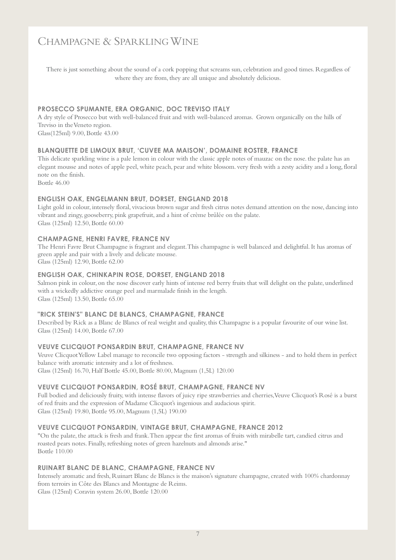# CHAMPAGNE & SPARKLING WINE

There is just something about the sound of a cork popping that screams sun, celebration and good times. Regardless of where they are from, they are all unique and absolutely delicious.

#### **PROSECCO SPUMANTE, ERA ORGANIC, DOC TREVISO ITALY**

A dry style of Prosecco but with well-balanced fruit and with well-balanced aromas. Grown organically on the hills of Treviso in the Veneto region. Glass(125ml) 9.00, Bottle 43.00

#### **BLANQUETTE DE LIMOUX BRUT, 'CUVEE MA MAISON', DOMAINE ROSTER, FRANCE**

This delicate sparkling wine is a pale lemon in colour with the classic apple notes of mauzac on the nose. the palate has an elegant mousse and notes of apple peel, white peach, pear and white blossom. very fresh with a zesty acidity and a long, floral note on the finish.

Bottle 46.00

#### **ENGLISH OAK, ENGELMANN BRUT, DORSET, ENGLAND 2018**

Light gold in colour, intensely floral, vivacious brown sugar and fresh citrus notes demand attention on the nose, dancing into vibrant and zingy, gooseberry, pink grapefruit, and a hint of crème brûlée on the palate. Glass (125ml) 12.50, Bottle 60.00

#### **CHAMPAGNE, HENRI FAVRE, FRANCE NV**

The Henri Favre Brut Champagne is fragrant and elegant. This champagne is well balanced and delightful. It has aromas of green apple and pair with a lively and delicate mousse.

Glass (125ml) 12.90, Bottle 62.00

#### **ENGLISH OAK, CHINKAPIN ROSE, DORSET, ENGLAND 2018**

Salmon pink in colour, on the nose discover early hints of intense red berry fruits that will delight on the palate, underlined with a wickedly addictive orange peel and marmalade finish in the length. Glass (125ml) 13.50, Bottle 65.00

#### **"RICK STEIN'S" BLANC DE BLANCS, CHAMPAGNE, FRANCE**

Described by Rick as a Blanc de Blancs of real weight and quality, this Champagne is a popular favourite of our wine list. Glass (125ml) 14.00, Bottle 67.00

#### **VEUVE CLICQUOT PONSARDIN BRUT, CHAMPAGNE, FRANCE NV**

Veuve Clicquot Yellow Label manage to reconcile two opposing factors - strength and silkiness - and to hold them in perfect balance with aromatic intensity and a lot of freshness. Glass (125ml) 16.70, Half Bottle 45.00, Bottle 80.00, Magnum (1,5L) 120.00

#### **VEUVE CLICQUOT PONSARDIN, ROSÉ BRUT, CHAMPAGNE, FRANCE NV**

Full bodied and deliciously fruity, with intense flavors of juicy ripe strawberries and cherries, Veuve Clicquot's Rosé is a burst of red fruits and the expression of Madame Clicquot's ingenious and audacious spirit. Glass (125ml) 19.80, Bottle 95.00, Magnum (1,5L) 190.00

#### **VEUVE CLICQUOT PONSARDIN, VINTAGE BRUT, CHAMPAGNE, FRANCE 2012**

"On the palate, the attack is fresh and frank. Then appear the first aromas of fruits with mirabelle tart, candied citrus and roasted pears notes. Finally, refreshing notes of green hazelnuts and almonds arise." Bottle 110.00

#### **RUINART BLANC DE BLANC, CHAMPAGNE, FRANCE NV**

Intensely aromatic and fresh, Ruinart Blanc de Blancs is the maison's signature champagne, created with 100% chardonnay from terroirs in Côte des Blancs and Montagne de Reims. Glass (125ml) Coravin system 26.00, Bottle 120.00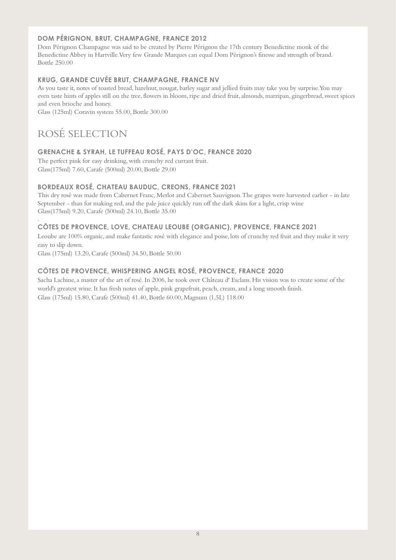# **DOM PÉRIGNON, BRUT, CHAMPAGNE, FRANCE 2012**

Dom Pérignon Champagne was said to be created by Pierre Pérignon the 17th century Benedictine monk of the Benedictine Abbey in Hartville. Very few Grande Marques can equal Dom Pérignon's finesse and strength of brand. Bottle 250.00

## **KRUG, GRANDE CUVÉE BRUT, CHAMPAGNE, FRANCE NV**

As you taste it, notes of toasted bread, hazelnut, nougat, barley sugar and jellied fruits may take you by surprise. You may even taste hints of apples still on the tree, flowers in bloom, ripe and dried fruit, almonds, marzipan, gingerbread, sweet spices and even brioche and honey.

Glass (125ml) Coravin system 55.00, Bottle 300.00

# ROSÉ SELECTION

# **GRENACHE & SYRAH, LE TUFFEAU ROSÉ, PAYS D'OC, FRANCE 2020**

The perfect pink for easy drinking, with crunchy red currant fruit. Glass(175ml) 7.60, Carafe (500ml) 20.00, Bottle 29.00

# **BORDEAUX ROSÉ, CHATEAU BAUDUC, CREONS, FRANCE 2021**

This dry rosé was made from Cabernet Franc, Merlot and Cabernet Sauvignon. The grapes were harvested earlier - in late September - than for making red, and the pale juice quickly run off the dark skins for a light, crisp wine Glass(175ml) 9.20, Carafe (500ml) 24.10, Bottle 35.00

# **CÔTES DE PROVENCE, LOVE, CHATEAU LEOUBE (ORGANIC), PROVENCE, FRANCE 2021**

Leoube are 100% organic, and make fantastic rosé with elegance and poise, lots of crunchy red fruit and they make it very easy to slip down.

Glass (175ml) 13.20, Carafe (500ml) 34.50, Bottle 50.00

# **CÔTES DE PROVENCE, WHISPERING ANGEL ROSÉ, PROVENCE, FRANCE 2020**

Sacha Lachine, a master of the art of rosé. In 2006, he took over Château d' Esclans. His vision was to create some of the world's greatest wine. It has fresh notes of apple, pink grapefruit, peach, cream, and a long smooth finish. Glass (175ml) 15.80, Carafe (500ml) 41.40, Bottle 60.00, Magnum (1,5L) 118.00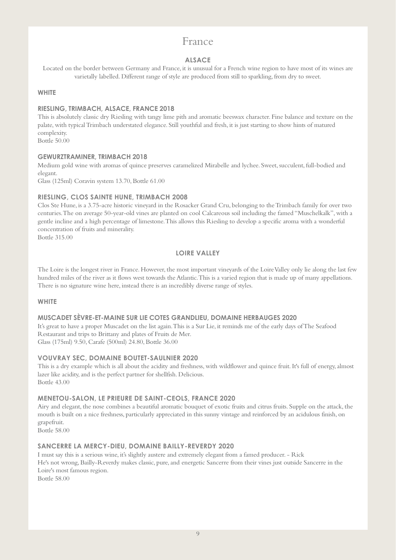# France

# **ALSACE**

Located on the border between Germany and France, it is unusual for a French wine region to have most of its wines are varietally labelled. Different range of style are produced from still to sparkling, from dry to sweet.

## **WHITE**

## **RIESLING, TRIMBACH, ALSACE, FRANCE 2018**

This is absolutely classic dry Riesling with tangy lime pith and aromatic beeswax character. Fine balance and texture on the palate, with typical Trimbach understated elegance. Still youthful and fresh, it is just starting to show hints of matured complexity.

Bottle 50.00

### **GEWURZTRAMINER, TRIMBACH 2018**

Medium gold wine with aromas of quince preserves caramelized Mirabelle and lychee. Sweet, succulent, full-bodied and elegant.

Glass (125ml) Coravin system 13.70, Bottle 61.00

# **RIESLING, CLOS SAINTE HUNE, TRIMBACH 2008**

Clos Ste Hune, is a 3.75-acre historic vineyard in the Rosacker Grand Cru, belonging to the Trimbach family for over two centuries. The on average 50-year-old vines are planted on cool Calcareous soil including the famed "Muschelkalk", with a gentle incline and a high percentage of limestone. This allows this Riesling to develop a specific aroma with a wonderful concentration of fruits and minerality.

Bottle 315.00

# **LOIRE VALLEY**

The Loire is the longest river in France. However, the most important vineyards of the Loire Valley only lie along the last few hundred miles of the river as it flows west towards the Atlantic. This is a varied region that is made up of many appellations. There is no signature wine here, instead there is an incredibly diverse range of styles.

### **WHITE**

### **MUSCADET SÈVRE-ET-MAINE SUR LIE COTES GRANDLIEU, DOMAINE HERBAUGES 2020**

It's great to have a proper Muscadet on the list again. This is a Sur Lie, it reminds me of the early days of The Seafood Restaurant and trips to Brittany and plates of Fruits de Mer. Glass (175ml) 9.50, Carafe (500ml) 24.80, Bottle 36.00

### **VOUVRAY SEC, DOMAINE BOUTET-SAULNIER 2020**

This is a dry example which is all about the acidity and freshness, with wildflower and quince fruit. It's full of energy, almost lazer like acidity, and is the perfect partner for shellfish. Delicious. Bottle 43.00

### **MENETOU-SALON, LE PRIEURE DE SAINT-CEOLS, FRANCE 2020**

Airy and elegant, the nose combines a beautiful aromatic bouquet of exotic fruits and citrus fruits. Supple on the attack, the mouth is built on a nice freshness, particularly appreciated in this sunny vintage and reinforced by an acidulous finish, on grapefruit.

Bottle 58.00

# **SANCERRE LA MERCY-DIEU, DOMAINE BAILLY-REVERDY 2020**

I must say this is a serious wine, it's slightly austere and extremely elegant from a famed producer. - Rick He's not wrong, Bailly-Reverdy makes classic, pure, and energetic Sancerre from their vines just outside Sancerre in the Loire's most famous region.

Bottle 58.00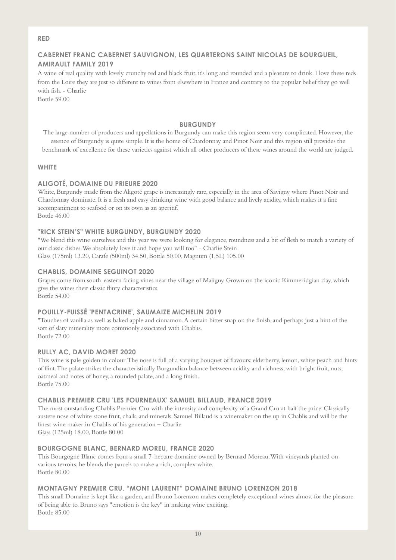#### **RED**

# **CABERNET FRANC CABERNET SAUVIGNON, LES QUARTERONS SAINT NICOLAS DE BOURGUEIL, AMIRAULT FAMILY 2019**

A wine of real quality with lovely crunchy red and black fruit, it's long and rounded and a pleasure to drink. I love these reds from the Loire they are just so different to wines from elsewhere in France and contrary to the popular belief they go well with fish. - Charlie

Bottle 59.00

### **BURGUNDY**

The large number of producers and appellations in Burgundy can make this region seem very complicated. However, the essence of Burgundy is quite simple.It is the home of Chardonnay and Pinot Noir and this region still provides the benchmark of excellence for these varieties against which all other producers of these wines around the world are judged.

### **WHITE**

### **ALIGOTÉ, DOMAINE DU PRIEURE 2020**

White, Burgundy made from the Aligoté grape is increasingly rare, especially in the area of Savigny where Pinot Noir and Chardonnay dominate. It is a fresh and easy drinking wine with good balance and lively acidity, which makes it a fine accompaniment to seafood or on its own as an aperitif. Bottle 46.00

### **"RICK STEIN'S" WHITE BURGUNDY, BURGUNDY 2020**

"We blend this wine ourselves and this year we were looking for elegance, roundness and a bit of flesh to match a variety of our classic dishes. We absolutely love it and hope you will too" - Charlie Stein Glass (175ml) 13.20, Carafe (500ml) 34.50, Bottle 50.00, Magnum (1,5L) 105.00

#### **CHABLIS, DOMAINE SEGUINOT 2020**

Grapes come from south-eastern facing vines near the village of Maligny. Grown on the iconic Kimmeridgian clay, which give the wines their classic flinty characteristics. Bottle 54.00

### **POUILLY-FUISSÉ 'PENTACRINE', SAUMAIZE MICHELIN 2019**

"Touches of vanilla as well as baked apple and cinnamon. A certain bitter snap on the finish, and perhaps just a hint of the sort of slaty minerality more commonly associated with Chablis. Bottle 72.00

### **RULLY AC, DAVID MORET 2020**

This wine is pale golden in colour. The nose is full of a varying bouquet of flavours; elderberry, lemon, white peach and hints of flint. The palate strikes the characteristically Burgundian balance between acidity and richness, with bright fruit, nuts, oatmeal and notes of honey, a rounded palate, and a long finish. Bottle 75.00

#### **CHABLIS PREMIER CRU 'LES FOURNEAUX' SAMUEL BILLAUD, FRANCE 2019**

The most outstanding Chablis Premier Cru with the intensity and complexity of a Grand Cru at half the price. Classically austere nose of white stone fruit, chalk, and minerals. Samuel Billaud is a winemaker on the up in Chablis and will be the finest wine maker in Chablis of his generation – Charlie Glass (125ml) 18.00, Bottle 80.00

#### **BOURGOGNE BLANC, BERNARD MOREU, FRANCE 2020**

This Bourgogne Blanc comes from a small 7-hectare domaine owned by Bernard Moreau. With vineyards planted on various terroirs, he blends the parcels to make a rich, complex white. Bottle 80.00

### **MONTAGNY PREMIER CRU, "MONT LAURENT" DOMAINE BRUNO LORENZON 2018**

This small Domaine is kept like a garden, and Bruno Lorenzon makes completely exceptional wines almost for the pleasure of being able to. Bruno says "emotion is the key" in making wine exciting. Bottle 85.00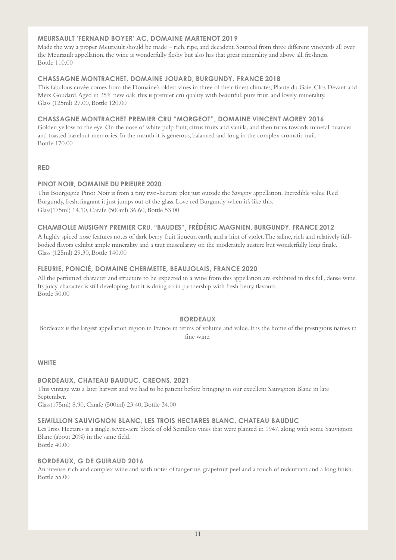### **MEURSAULT 'FERNAND BOYER' AC, DOMAINE MARTENOT 2019**

Made the way a proper Meursault should be made – rich, ripe, and decadent. Sourced from three different vineyards all over the Meursault appellation, the wine is wonderfully fleshy but also has that great minerality and above all, freshness. Bottle 110.00

# **CHASSAGNE MONTRACHET, DOMAINE JOUARD, BURGUNDY, FRANCE 2018**

This fabulous cuvée comes from the Domaine's oldest vines in three of their finest climates; Plante du Gaie, Clos Devant and Meix Goudard. Aged in 25% new oak, this is premier cru quality with beautiful, pure fruit, and lovely minerality. Glass (125ml) 27.00, Bottle 120.00

#### **CHASSAGNE MONTRACHET PREMIER CRU "MORGEOT", DOMAINE VINCENT MOREY 2016**

Golden yellow to the eye. On the nose of white pulp fruit, citrus fruits and vanilla, and then turns towards mineral nuances and toasted hazelnut memories. In the mouth it is generous, balanced and long in the complex aromatic trail. Bottle 170.00

#### **RED**

### **PINOT NOIR, DOMAINE DU PRIEURE 2020**

This Bourgogne Pinot Noir is from a tiny two-hectare plot just outside the Savigny appellation. Incredible value Red Burgundy, fresh, fragrant it just jumps out of the glass. Love red Burgundy when it's like this. Glass(175ml) 14.10, Carafe (500ml) 36.60, Bottle 53.00

### **CHAMBOLLE MUSIGNY PREMIER CRU, "BAUDES"¸ [FRÉDÉRIC MAGNIEN,](http://www.frederic-magnien.com/actualites.php?lg=2) BURGUNDY, FRANCE 2012**

A highly spiced nose features notes of dark berry fruit liqueur, earth, and a hint of violet. The saline, rich and relatively fullbodied flavors exhibit ample minerality and a taut muscularity on the moderately austere but wonderfully long finale. Glass (125ml) 29.30, Bottle 140.00

### **FLEURIE, PONCIÉ, DOMAINE CHERMETTE, BEAUJOLAIS, FRANCE 2020**

All the perfumed character and structure to be expected in a wine from this appellation are exhibited in this full, dense wine. Its juicy character is still developing, but it is doing so in partnership with fresh berry flavours. Bottle 50.00

### **BORDEAUX**

Bordeaux is the largest appellation region in France in terms of volume and value. It is the home of the prestigious names in fine wine.

#### **WHITE**

### **BORDEAUX, CHATEAU BAUDUC, CREONS, 2021**

This vintage was a later harvest and we had to be patient before bringing in our excellent Sauvignon Blanc in late September.

Glass(175ml) 8.90, Carafe (500ml) 23.40, Bottle 34.00

### **SEMILLLON SAUVIGNON BLANC, LES TROIS HECTARES BLANC, CHATEAU BAUDUC**

Les Trois Hectares is a single, seven-acre block of old Semillon vines that were planted in 1947, along with some Sauvignon Blanc (about 20%) in the same field. Bottle 40.00

#### **BORDEAUX, G DE GUIRAUD 2016**

An intense, rich and complex wine and with notes of tangerine, grapefruit peel and a touch of redcurrant and a long finish. Bottle 55.00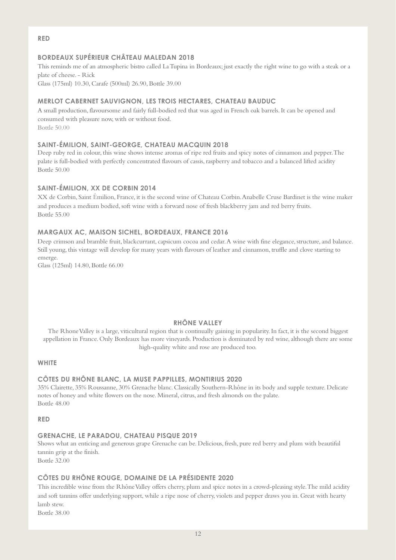**RED**

# **BORDEAUX SUPÉRIEUR CHÂTEAU MALEDAN 2018**

This reminds me of an atmospheric bistro called La Tupina in Bordeaux; just exactly the right wine to go with a steak or a plate of cheese. - Rick Glass (175ml) 10.30, Carafe (500ml) 26.90, Bottle 39.00

#### **MERLOT CABERNET SAUVIGNON, LES TROIS HECTARES, CHATEAU BAUDUC**

A small production, flavoursome and fairly full-bodied red that was aged in French oak barrels. It can be opened and consumed with pleasure now, with or without food. Bottle 50.00

#### **SAINT-ÉMILION, SAINT-GEORGE, CHATEAU MACQUIN 2018**

Deep ruby red in colour, this wine shows intense aromas of ripe red fruits and spicy notes of cinnamon and pepper. The palate is full-bodied with perfectly concentrated flavours of cassis, raspberry and tobacco and a balanced lifted acidity Bottle 50.00

# **SAINT-ÉMILION, XX DE CORBIN 2014**

XX de Corbin, Saint Émilion, France, it is the second wine of Chateau Corbin. Anabelle Cruse Bardinet is the wine maker and produces a medium bodied, soft wine with a forward nose of fresh blackberry jam and red berry fruits. Bottle 55.00

#### **MARGAUX AC, MAISON SICHEL, BORDEAUX, FRANCE 2016**

Deep crimson and bramble fruit, blackcurrant, capsicum cocoa and cedar. A wine with fine elegance, structure, and balance. Still young, this vintage will develop for many years with flavours of leather and cinnamon, truffle and clove starting to emerge.

Glass (125ml) 14.80, Bottle 66.00

## **RHÔNE VALLEY**

The Rhone Valley is a large, viticultural region that is continually gaining in popularity. In fact, it is the second biggest appellation in France. Only [Bordeaux](https://www.thewinecellarinsider.com/wine-topics/wine-educational-questions/bordeaux-resources-buying-guides-education-questions-answers/) has more vineyards. Production is dominated by red wine, although there are some high-quality white and rose are produced too.

#### **WHITE**

#### **CÔTES DU RHÔNE BLANC, LA MUSE PAPPILLES, MONTIRIUS 2020**

35% Clairette, 35% Roussanne, 30% Grenache blanc. Classically Southern-Rhône in its body and supple texture. Delicate notes of honey and white flowers on the nose. Mineral, citrus, and fresh almonds on the palate. Bottle 48.00

**RED**

#### **GRENACHE, LE PARADOU, CHATEAU PISQUE 2019**

Shows what an enticing and generous grape Grenache can be. Delicious, fresh, pure red berry and plum with beautiful tannin grip at the finish.

Bottle 32.00

#### **CÔTES DU RHÔNE ROUGE, DOMAINE DE LA PRÉSIDENTE 2020**

This incredible wine from the Rhône Valley offers cherry, plum and spice notes in a crowd-pleasing style. The mild acidity and soft tannins offer underlying support, while a ripe nose of cherry, violets and pepper draws you in. Great with hearty lamb stew.

Bottle 38.00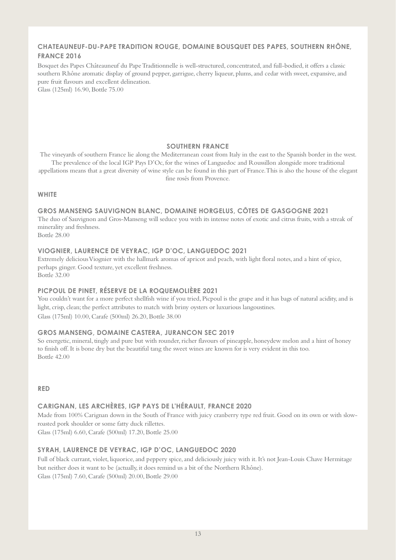# **CHATEAUNEUF-DU-PAPE TRADITION ROUGE, DOMAINE BOUSQUET DES PAPES, SOUTHERN RHÔNE, FRANCE 2016**

Bosquet des Papes Châteauneuf du Pape Traditionnelle is well-structured, concentrated, and full-bodied, it offers a classic southern Rhône aromatic display of ground pepper, garrigue, cherry liqueur, plums, and cedar with sweet, expansive, and pure fruit flavours and excellent delineation.

Glass (125ml) 16.90, Bottle 75.00

#### **SOUTHERN FRANCE**

The vineyards of southern France lie along the Mediterranean coast from Italy in the east to the Spanish border in the west. The prevalence of the local IGP Pays D'Oc, for the wines of Languedoc and Roussillon alongside more traditional appellations means that a great diversity of wine style can be found in this part of France. This is also the house of the elegant fine rosés from Provence.

#### **WHITE**

**GROS MANSENG SAUVIGNON BLANC, DOMAINE HORGELUS, CÔTES DE GASGOGNE 2021** The duo of Sauvignon and Gros-Manseng will seduce you with its intense notes of exotic and citrus fruits, with a streak of minerality and freshness. Bottle 28.00

#### **VIOGNIER, LAURENCE DE VEYRAC, IGP D'OC, LANGUEDOC 2021**

Extremely delicious Viognier with the hallmark aromas of apricot and peach, with light floral notes, and a hint of spice, perhaps ginger. Good texture, yet excellent freshness. Bottle 32.00

### **PICPOUL DE PINET, RÉSERVE DE LA ROQUEMOLIÈRE 2021**

You couldn't want for a more perfect shellfish wine if you tried, Picpoul is the grape and it has bags of natural acidity, and is light, crisp, clean; the perfect attributes to match with briny oysters or luxurious langoustines. Glass (175ml) 10.00, Carafe (500ml) 26.20, Bottle 38.00

### **GROS MANSENG, DOMAINE CASTERA, JURANCON SEC 2019**

So energetic, mineral, tingly and pure but with rounder, richer flavours of pineapple, honeydew melon and a hint of honey to finish off. It is bone dry but the beautiful tang the sweet wines are known for is very evident in this too. Bottle 42.00

#### **RED**

### **CARIGNAN, LES ARCHÈRES, IGP PAYS DE L'HÉRAULT, FRANCE 2020**

Made from 100% Carignan down in the South of France with juicy cranberry type red fruit. Good on its own or with slowroasted pork shoulder or some fatty duck rillettes.

Glass (175ml) 6.60, Carafe (500ml) 17.20, Bottle 25.00

### **SYRAH, LAURENCE DE VEYRAC, IGP D'OC, LANGUEDOC 2020**

Full of black currant, violet, liquorice, and peppery spice, and deliciously juicy with it. It's not Jean-Louis Chave Hermitage but neither does it want to be (actually, it does remind us a bit of the Northern Rhône). Glass (175ml) 7.60, Carafe (500ml) 20.00, Bottle 29.00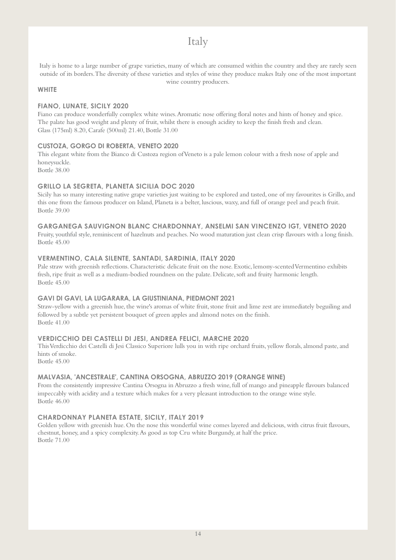# Italy

Italy is home to a large number of grape varieties, many of which are consumed within the country and they are rarely seen outside of its borders.The diversity of these varieties and styles of wine they produce makes Italy one of the most important wine country producers.

### **WHITE**

## **FIANO, LUNATE, SICILY 2020**

Fiano can produce wonderfully complex white wines. Aromatic nose offering floral notes and hints of honey and spice. The palate has good weight and plenty of fruit, whilst there is enough acidity to keep the finish fresh and clean. Glass (175ml) 8.20, Carafe (500ml) 21.40, Bottle 31.00

# **CUSTOZA, GORGO DI ROBERTA, VENETO 2020**

This elegant white from the Bianco di Custoza region of Veneto is a pale lemon colour with a fresh nose of apple and honeysuckle.

Bottle 38.00

# **GRILLO LA SEGRETA, PLANETA SICILIA DOC 2020**

Sicily has so many interesting native grape varieties just waiting to be explored and tasted, one of my favourites is Grillo, and this one from the famous producer on Island, Planeta is a belter, luscious, waxy, and full of orange peel and peach fruit. Bottle 39.00

# **GARGANEGA SAUVIGNON BLANC CHARDONNAY, ANSELMI SAN VINCENZO IGT, VENETO 2020**

Fruity, youthful style, reminiscent of hazelnuts and peaches. No wood maturation just clean crisp flavours with a long finish. Bottle 45.00

# **VERMENTINO, CALA SILENTE, SANTADI, SARDINIA, ITALY 2020**

Pale straw with greenish reflections. Characteristic delicate fruit on the nose. Exotic, lemony-scented Vermentino exhibits fresh, ripe fruit as well as a medium-bodied roundness on the palate. Delicate, soft and fruity harmonic length. Bottle 45.00

### **GAVI DI GAVI, LA LUGARARA, LA GIUSTINIANA, PIEDMONT 2021**

Straw-yellow with a greenish hue, the wine's aromas of white fruit, stone fruit and lime zest are immediately beguiling and followed by a subtle yet persistent bouquet of green apples and almond notes on the finish. Bottle 41.00

# **VERDICCHIO DEI CASTELLI DI JESI, ANDREA FELICI, MARCHE 2020**

ThisVerdicchio dei Castelli di Jesi Classico Superiore lulls you in with ripe orchard fruits, yellow florals, almond paste, and hints of smoke.

Bottle 45.00

# **MALVASIA, 'ANCESTRALE', CANTINA ORSOGNA, ABRUZZO 2019 (ORANGE WINE)**

From the consistently impressive Cantina Orsogna in Abruzzo a fresh wine, full of mango and pineapple flavours balanced impeccably with acidity and a texture which makes for a very pleasant introduction to the orange wine style. Bottle 46.00

# **CHARDONNAY PLANETA ESTATE, SICILY, ITALY 2019**

Golden yellow with greenish hue. On the nose this wonderful wine comes layered and delicious, with citrus fruit flavours, chestnut, honey, and a spicy complexity. As good as top Cru white Burgundy, at half the price. Bottle 71.00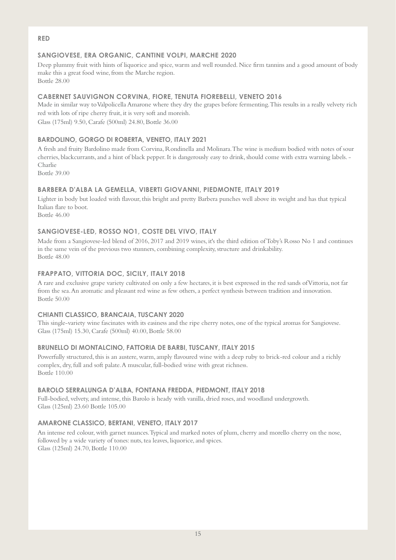#### **RED**

# **SANGIOVESE, ERA ORGANIC, CANTINE VOLPI, MARCHE 2020**

Deep plummy fruit with hints of liquorice and spice, warm and well rounded. Nice firm tannins and a good amount of body make this a great food wine, from the Marche region. Bottle 28.00

## **CABERNET SAUVIGNON CORVINA, FIORE, TENUTA FIOREBELLI, VENETO 2016**

Made in similar way to Valpolicella Amarone where they dry the grapes before fermenting. This results in a really velvety rich red with lots of ripe cherry fruit, it is very soft and moreish. Glass (175ml) 9.50, Carafe (500ml) 24.80, Bottle 36.00

# **BARDOLINO, GORGO DI ROBERTA, VENETO, ITALY 2021**

A fresh and fruity Bardolino made from Corvina, Rondinella and Molinara. The wine is medium bodied with notes of sour cherries, blackcurrants, and a hint of black pepper. It is dangerously easy to drink, should come with extra warning labels. - Charlie Bottle 39.00

# **BARBERA D'ALBA LA GEMELLA, VIBERTI GIOVANNI, PIEDMONTE, ITALY 2019**

Lighter in body but loaded with flavour, this bright and pretty Barbera punches well above its weight and has that typical Italian flare to boot.

Bottle 46.00

# **SANGIOVESE-LED, ROSSO NO1, COSTE DEL VIVO, ITALY**

Made from a Sangiovese-led blend of 2016, 2017 and 2019 wines, it's the third edition of Toby's Rosso No 1 and continues in the same vein of the previous two stunners, combining complexity, structure and drinkability. Bottle 48.00

### **FRAPPATO, VITTORIA DOC, SICILY, ITALY 2018**

A rare and exclusive grape variety cultivated on only a few hectares, it is best expressed in the red sands of Vittoria, not far from the sea. An aromatic and pleasant red wine as few others, a perfect synthesis between tradition and innovation. Bottle 50.00

### **CHIANTI CLASSICO, BRANCAIA, TUSCANY 2020**

This single-variety wine fascinates with its easiness and the ripe cherry notes, one of the typical aromas for Sangiovese. Glass (175ml) 15.30, Carafe (500ml) 40.00, Bottle 58.00

### **BRUNELLO DI MONTALCINO, FATTORIA DE BARBI, TUSCANY, ITALY 2015**

Powerfully structured, this is an austere, warm, amply flavoured wine with a deep ruby to brick-red colour and a richly complex, dry, full and soft palate. A muscular, full-bodied wine with great richness. Bottle 110.00

### **BAROLO SERRALUNGA D'ALBA, FONTANA FREDDA, PIEDMONT, ITALY 2018**

Full-bodied, velvety, and intense, this Barolo is heady with vanilla, dried roses, and woodland undergrowth. Glass (125ml) 23.60 Bottle 105.00

### **AMARONE CLASSICO, BERTANI, VENETO, ITALY 2017**

An intense red colour, with garnet nuances. Typical and marked notes of plum, cherry and morello cherry on the nose, followed by a wide variety of tones: nuts, tea leaves, liquorice, and spices. Glass (125ml) 24.70, Bottle 110.00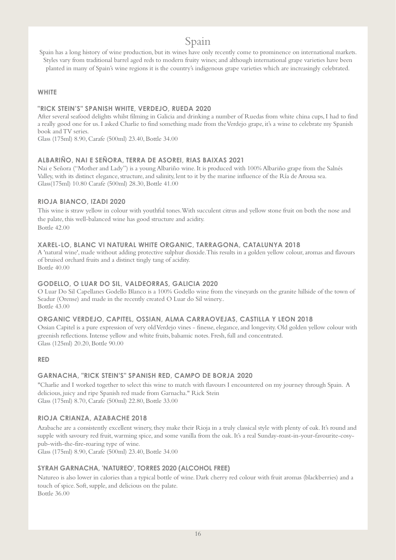# Spain

Spain has a long history of wine production, but its wines have only recently come to prominence on international markets. Styles vary from traditional barrel aged reds to modern fruity wines; and although international grape varieties have been planted in many of Spain's wine regions it is the country's indigenous grape varieties which are increasingly celebrated.

### **WHITE**

#### **"RICK STEIN'S" SPANISH WHITE, VERDEJO, RUEDA 2020**

After several seafood delights whilst filming in Galicia and drinking a number of Ruedas from white china cups, I had to find a really good one for us. I asked Charlie to find something made from the Verdejo grape, it's a wine to celebrate my Spanish book and TV series.

Glass (175ml) 8.90, Carafe (500ml) 23.40, Bottle 34.00

### **ALBARIÑO, NAI E SEÑORA, TERRA DE ASOREI, RIAS BAIXAS 2021**

Nai e Señora ("Mother and Lady") is a young Albariño wine. It is produced with 100% Albariño grape from the Salnés Valley, with its distinct elegance, structure, and salinity, lent to it by the marine influence of the Ría de Arousa sea. Glass(175ml) 10.80 Carafe (500ml) 28.30, Bottle 41.00

### **RIOJA BIANCO, IZADI 2020**

This wine is straw yellow in colour with youthful tones. With succulent citrus and yellow stone fruit on both the nose and the palate, this well-balanced wine has good structure and acidity.

Bottle 42.00

### **XAREL-LO, BLANC VI NATURAL WHITE ORGANIC, TARRAGONA, CATALUNYA 2018**

A 'natural wine', made without adding protective sulphur dioxide. This results in a golden yellow colour, aromas and flavours of bruised orchard fruits and a distinct tingly tang of acidity. Bottle 40.00

### **GODELLO, O LUAR DO SIL, VALDEORRAS, GALICIA 2020**

O Luar Do Sil Capellanes Godello Blanco is a 100% Godello wine from the vineyards on the granite hillside of the town of Seadur (Orense) and made in the recently created O Luar do Sil winery.. Bottle 43.00

### **ORGANIC VERDEJO, CAPITEL, OSSIAN, ALMA CARRAOVEJAS, CASTILLA Y LEON 2018**

Ossian Capitel is a pure expression of very old Verdejo vines - finesse, elegance, and longevity. Old golden yellow colour with greenish reflections. Intense yellow and white fruits, balsamic notes. Fresh, full and concentrated. Glass (125ml) 20.20, Bottle 90.00

#### **RED**

### **GARNACHA, "RICK STEIN'S" SPANISH RED, CAMPO DE BORJA 2020**

"Charlie and I worked together to select this wine to match with flavours I encountered on my journey through Spain. A delicious, juicy and ripe Spanish red made from Garnacha." Rick Stein Glass (175ml) 8.70, Carafe (500ml) 22.80, Bottle 33.00

### **RIOJA CRIANZA, AZABACHE 2018**

Azabache are a consistently excellent winery, they make their Rioja in a truly classical style with plenty of oak. It's round and supple with savoury red fruit, warming spice, and some vanilla from the oak. It's a real Sunday-roast-in-your-favourite-cosypub-with-the-fire-roaring type of wine.

Glass (175ml) 8.90, Carafe (500ml) 23.40, Bottle 34.00

### **SYRAH GARNACHA, 'NATUREO', TORRES 2020 (ALCOHOL FREE)**

Natureo is also lower in calories than a typical bottle of wine. Dark cherry red colour with fruit aromas (blackberries) and a touch of spice. Soft, supple, and delicious on the palate. Bottle 36.00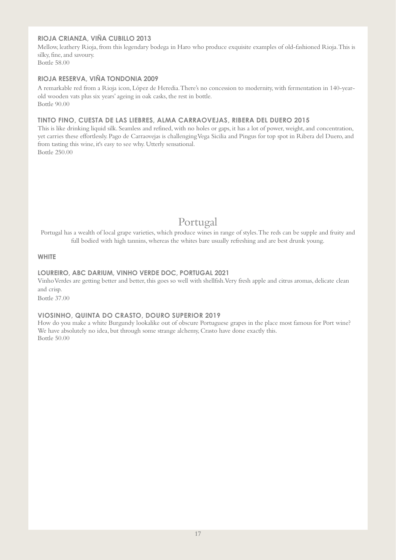### **RIOJA CRIANZA, VIÑA CUBILLO 2013**

Mellow, leathery Rioja, from this legendary bodega in Haro who produce exquisite examples of old-fashioned Rioja. This is silky, fine, and savoury. Bottle 58.00

# **RIOJA RESERVA, VIÑA TONDONIA 2009**

A remarkable red from a Rioja icon, López de Heredia. There's no concession to modernity, with fermentation in 140-yearold wooden vats plus six years' ageing in oak casks, the rest in bottle. Bottle 90.00

#### **TINTO FINO, CUESTA DE LAS LIEBRES, ALMA CARRAOVEJAS, RIBERA DEL DUERO 2015**

This is like drinking liquid silk. Seamless and refined, with no holes or gaps, it has a lot of power, weight, and concentration, yet carries these effortlessly. Pago de Carraovejas is challenging Vega Sicilia and Pingus for top spot in Ribera del Duero, and from tasting this wine, it's easy to see why. Utterly sensational. Bottle 250.00

# Portugal

Portugal has a wealth of local grape varieties, which produce wines in range of styles. The reds can be supple and fruity and full bodied with high tannins, whereas the whites bare usually refreshing and are best drunk young.

#### **WHITE**

#### **LOUREIRO, ABC DARIUM, VINHO VERDE DOC, PORTUGAL 2021**

Vinho Verdes are getting better and better, this goes so well with shellfish. Very fresh apple and citrus aromas, delicate clean and crisp.

Bottle 37.00

### **VIOSINHO, QUINTA DO CRASTO, DOURO SUPERIOR 2019**

How do you make a white Burgundy lookalike out of obscure Portuguese grapes in the place most famous for Port wine? We have absolutely no idea, but through some strange alchemy, Crasto have done exactly this. Bottle 50.00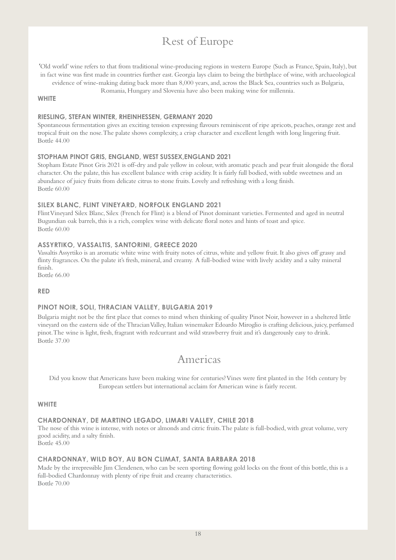# Rest of Europe

'Old world' wine refers to that from traditional wine-producing regions in western Europe (Such as [France,](https://www.olivemagazine.com/travel/europe/france/best-french-food-trips/) [Spain,](https://www.olivemagazine.com/travel/europe/spain/best-spanish-food-trips/)[Italy\)](https://www.olivemagazine.com/recipes/entertain/best-ever-italian-recipes/), but in fact wine was first made in countries further east. [Georgia](https://www.olivemagazine.com/travel/europe/georgia-best-things-to-eat-and-drink/) lays claim to being the birthplace of wine, with archaeological evidence of wine-making dating back more than 8,000 years, and, across the Black Sea, countries such as Bulgaria,

Romania, [Hungary](https://www.olivemagazine.com/travel/europe/budapest-hungary-top-10-places-to-eat-and-drink/) and [Slovenia](https://www.olivemagazine.com/travel/europe/slovenia-best-places-to-eat-drink-and-stay-2016/) have also been making wine for millennia.

#### **WHITE**

#### **RIESLING, STEFAN WINTER, RHEINHESSEN, GERMANY 2020**

Spontaneous fermentation gives an exciting tension expressing flavours reminiscent of ripe apricots, peaches, orange zest and tropical fruit on the nose. The palate shows complexity, a crisp character and excellent length with long lingering fruit. Bottle 44.00

#### **STOPHAM PINOT GRIS, ENGLAND, WEST SUSSEX,ENGLAND 2021**

Stopham Estate Pinot Gris 2021 is off-dry and pale yellow in colour, with aromatic peach and pear fruit alongside the floral character. On the palate, this has excellent balance with crisp acidity. It is fairly full bodied, with subtle sweetness and an abundance of juicy fruits from delicate citrus to stone fruits. Lovely and refreshing with a long finish. Bottle 60.00

#### **SILEX BLANC, FLINT VINEYARD, NORFOLK ENGLAND 2021**

Flint Vineyard Silex Blanc, Silex (French for Flint) is a blend of Pinot dominant varieties. Fermented and aged in neutral Bugundian oak barrels, this is a rich, complex wine with delicate floral notes and hints of toast and spice. Bottle 60.00

### **ASSYRTIKO, VASSALTIS, SANTORINI, GREECE 2020**

Vassaltis Assyrtiko is an aromatic white wine with fruity notes of citrus, white and yellow fruit. It also gives off grassy and flinty fragrances. On the palate it's fresh, mineral, and creamy. A full-bodied wine with lively acidity and a salty mineral finish. Bottle 66.00

**RED**

### **PINOT NOIR, SOLI, THRACIAN VALLEY, BULGARIA 2019**

Bulgaria might not be the first place that comes to mind when thinking of quality Pinot Noir, however in a sheltered little vineyard on the eastern side of the Thracian Valley, Italian winemaker Edoardo Miroglio is crafting delicious, juicy, perfumed pinot. The wine is light, fresh, fragrant with redcurrant and wild strawberry fruit and it's dangerously easy to drink. Bottle 37.00

# Americas

Did you know that Americans have been making wine for centuries? Vines were first planted in the 16th century by European settlers but international acclaim for American wine is fairly recent.

#### **WHITE**

#### **CHARDONNAY, DE MARTINO LEGADO, LIMARI VALLEY, CHILE 2018**

The nose of this wine is intense, with notes or almonds and citric fruits. The palate is full-bodied, with great volume, very good acidity, and a salty finish.

Bottle 45.00

#### **CHARDONNAY, WILD BOY, AU BON CLIMAT, SANTA BARBARA 2018**

Made by the irrepressible Jim Clendenen, who can be seen sporting flowing gold locks on the front of this bottle, this is a full-bodied Chardonnay with plenty of ripe fruit and creamy characteristics. Bottle 70.00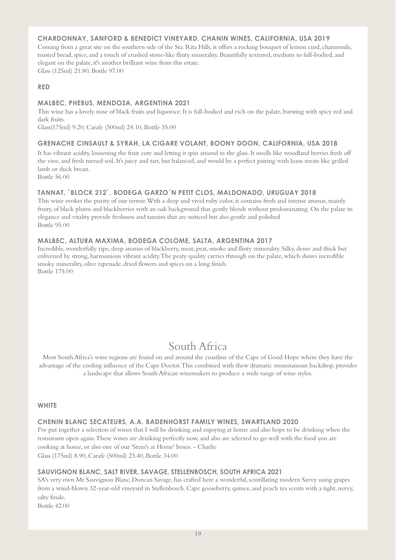### **CHARDONNAY, SANFORD & BENEDICT VINEYARD. CHANIN WINES, CALIFORNIA, USA 2019**

Coming from a great site on the southern side of the Sta. Rita Hills, it offers a rocking bouquet of lemon curd, chamomile, toasted bread, spice, and a touch of crushed stone-like flinty minerality. Beautifully textured, medium to full-bodied, and elegant on the palate, it's another brilliant wine from this estate. Glass (125ml) 21.80, Bottle 97.00

#### **RED**

#### **MALBEC, PHEBUS, MENDOZA, ARGENTINA 2021**

This wine has a lovely nose of black fruits and liquorice. It is full-bodied and rich on the palate, bursting with spicy red and dark fruits.

Glass(175ml) 9.20, Carafe (500ml) 24.10, Bottle 35.00

#### **GRENACHE CINSAULT & SYRAH, LA CIGARE VOLANT, BOONY DOON, CALIFORNIA, USA 2018**

It has vibrant acidity, loosening the fruit core and letting it spin around in the glass. It smells like woodland berries fresh off the vine, and fresh turned soil. It's juicy and tart, but balanced, and would be a perfect pairing with leans meats like grilled lamb or duck breast.

Bottle 56.00

### **TANNAT, `BLOCK 212`, BODEGA GARZO´N PETIT CLOS, MALDONADO, URUGUAY 2018**

This wine evokes the purity of our terroir. With a deep and vivid ruby color, it contains fresh and intense aromas, mainly fruity, of black plums and blackberries with an oak background that gently blends without predominating. On the palate its elegance and vitality provide freshness and tannins that are noticed but also gentle and polished Bottle 95.00

### **MALBEC, ALTURA MAXIMA, BODEGA COLOME, SALTA, ARGENTINA 2017**

Incredible, wonderfully ripe, deep aromas of blackberry, meat, peat, smoke and flinty minerality. Silky, dense and thick but enlivened by strong, harmonious vibrant acidity. The peaty quality carries through on the palate, which shows incredible smoky minerality, olive tapenade, dried flowers and spices on a long finish. Bottle 175.00

# South Africa

Most South Africa's wine regions are found on and around the coastline of the Cape of Good Hope where they have the advantage of the cooling influence of the Cape Doctor. This combined with thew dramatic mountainous backdrop, provides a landscape that allows South African winemakers to produce a wide range of wine styles.

#### **WHITE**

### **CHENIN BLANC SECATEURS, A.A. BADENHORST FAMILY WINES, SWARTLAND 2020**

I've put together a selection of wines that I will be drinking and enjoying at home and also hope to be drinking when the restaurants open again. These wines are drinking perfectly now, and also are selected to go well with the food you are cooking at home, or also one of our 'Stein's at Home' boxes. - Charlie Glass (175ml) 8.90, Carafe (500ml) 23.40, Bottle 34.00

### **SAUVIGNON BLANC, SALT RIVER, SAVAGE, STELLENBOSCH, SOUTH AFRICA 2021**

SA's very own Mr Sauvignon Blanc, Duncan Savage, has crafted here a wonderful, scintillating modern Savvy using grapes from a wind-blown 32-year-old vineyard in Stellenbosch. Cape gooseberry, quince, and peach tea scents with a tight, nervy, salty finale.

Bottle 42.00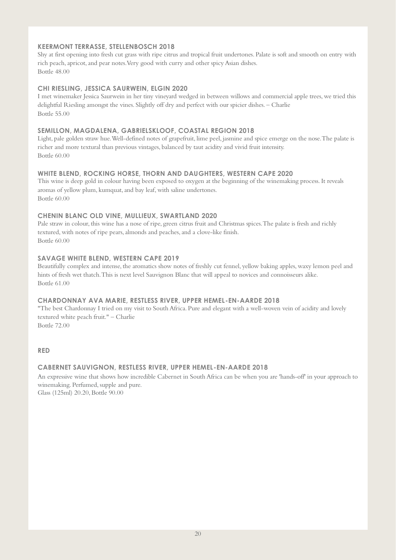### **KEERMONT TERRASSE, STELLENBOSCH 2018**

Shy at first opening into fresh cut grass with ripe citrus and tropical fruit undertones. Palate is soft and smooth on entry with rich peach, apricot,and pear notes. Very good with curry and other spicy Asian dishes. Bottle 48.00

# **CHI RIESLING, JESSICA SAURWEIN, ELGIN 2020**

I met winemaker Jessica Saurwein in her tiny vineyard wedged in between willows and commercial apple trees, we tried this delightful Riesling amongst the vines. Slightly off dry and perfect with our spicier dishes. – Charlie Bottle 55.00

## **SEMILLON, MAGDALENA, GABRIELSKLOOF, COASTAL REGION 2018**

Light, pale golden straw hue. Well-defined notes of grapefruit, lime peel, jasmine and spice emerge on the nose. The palate is richer and more textural than previous vintages, balanced by taut acidity and vivid fruit intensity. Bottle 60.00

# **WHITE BLEND, ROCKING HORSE, THORN AND DAUGHTERS, WESTERN CAPE 2020**

This wine is deep gold in colour having been exposed to oxygen at the beginning of the winemaking process. It reveals aromas of yellow plum, kumquat, and bay leaf, with saline undertones. Bottle 60.00

### **CHENIN BLANC OLD VINE, MULLIEUX, SWARTLAND 2020**

Pale straw in colour, this wine has a nose of ripe, green citrus fruit and Christmas spices. The palate is fresh and richly textured, with notes of ripe pears, almonds and peaches, and a clove-like finish. Bottle 60.00

### **SAVAGE WHITE BLEND, WESTERN CAPE 2019**

Beautifully complex and intense, the aromatics show notes of freshly cut fennel, yellow baking apples, waxy lemon peel and hints of fresh wet thatch. This is next level Sauvignon Blanc that will appeal to novices and connoisseurs alike. Bottle 61.00

### **CHARDONNAY AVA MARIE, RESTLESS RIVER, UPPER HEMEL-EN-AARDE 2018**

"The best Chardonnay I tried on my visit to South Africa. Pure and elegant with a well-woven vein of acidity and lovely textured white peach fruit." – Charlie Bottle 72.00

**RED**

### **CABERNET SAUVIGNON, RESTLESS RIVER, UPPER HEMEL-EN-AARDE 2018**

An expressive wine that shows how incredible Cabernet in South Africa can be when you are 'hands-off' in your approach to winemaking. Perfumed, supple and pure. Glass (125ml) 20.20, Bottle 90.00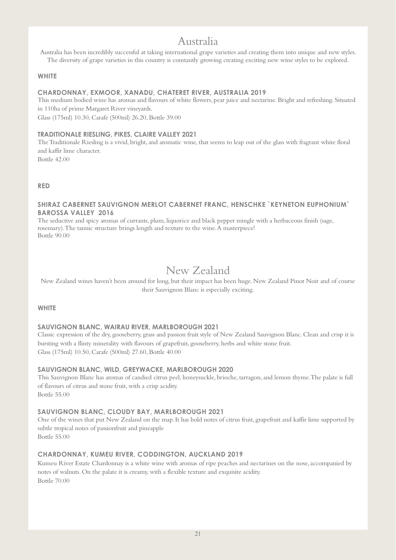# Australia

Australia has been incredibly successful at taking international grape varieties and creating them into unique and new styles. The diversity of grape varieties in this country is constantly growing creating exciting new wine styles to be explored.

### **WHITE**

### **CHARDONNAY, EXMOOR, XANADU, CHATERET RIVER, AUSTRALIA 2019**

This medium bodied wine has aromas and flavours of white flowers, pear juice and nectarine. Bright and refreshing. Situated in 110ha of prime Margaret River vineyards.

Glass (175ml) 10.30, Carafe (500ml) 26.20, Bottle 39.00

## **TRADITIONALE RIESLING, PIKES, CLAIRE VALLEY 2021**

The Traditionale Riesling is a vivid, bright, and aromatic wine, that seems to leap out of the glass with fragrant white floral and kaffir lime character.

Bottle 42.00

# **RED**

### **SHIRAZ CABERNET SAUVIGNON MERLOT CABERNET FRANC, HENSCHKE `KEYNETON EUPHONIUM` BAROSSA VALLEY 2016**

The seductive and spicy aromas of currants, plum, liquorice and black pepper mingle with a herbaceous finish (sage, rosemary). The tannic structure brings length and texture to the wine. A masterpiece! Bottle 90.00

# New Zealand

New Zealand wines haven't been around for long, but their impact has been huge. New Zealand Pinot Noir and of course their Sauvignon Blanc is especially exciting.

### **WHITE**

# **SAUVIGNON BLANC, WAIRAU RIVER, MARLBOROUGH 2021**

Classic expression of the dry, gooseberry, grass and passion fruit style of New Zealand Sauvignon Blanc. Clean and crisp it is bursting with a flinty minerality with flavours of grapefruit, gooseberry, herbs and white stone fruit. Glass (175ml) 10.50, Carafe (500ml) 27.60, Bottle 40.00

### **SAUVIGNON BLANC, WILD, GREYWACKE, MARLBOROUGH 2020**

This Sauvignon Blanc has aromas of candied citrus peel, honeysuckle, brioche, tarragon, and lemon thyme. The palate is full of flavours of citrus and stone fruit, with a crisp acidity. Bottle 55.00

### **SAUVIGNON BLANC, CLOUDY BAY, MARLBOROUGH 2021**

One of the wines that put New Zealand on the map. It has bold notes of citrus fruit, grapefruit and kaffir lime supported by subtle tropical notes of passionfruit and pineapple Bottle 55.00

# **CHARDONNAY, KUMEU RIVER, CODDINGTON, AUCKLAND 2019**

Kumeu River Estate Chardonnay is a white wine with aromas of ripe peaches and nectarines on the nose, accompanied by notes of walnuts. On the palate it is creamy, with a flexible texture and exquisite acidity. Bottle 70.00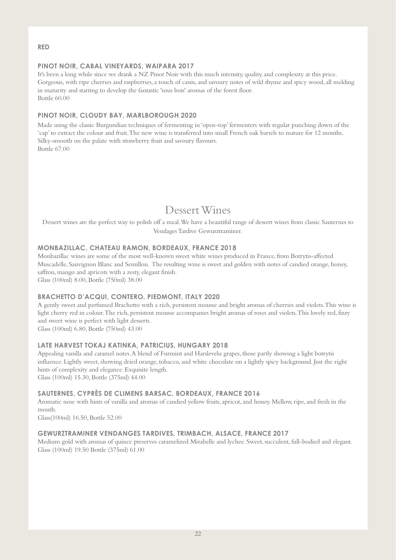### **RED**

## **PINOT NOIR, CABAL VINEYARDS, WAIPARA 2017**

It's been a long while since we drank a NZ Pinot Noir with this much intensity, quality, and complexity at this price. Gorgeous, with ripe cherries and raspberries, a touch of cassis, and savoury notes of wild thyme and spicy wood, all melding in maturity and starting to develop the fantastic 'sous bois' aromas of the forest floor. Bottle 60.00

# **PINOT NOIR, CLOUDY BAY, MARLBOROUGH 2020**

Made using the classic Burgundian techniques of fermenting in 'open-top' fermenters with regular punching down of the 'cap' to extract the colour and fruit. The new wine is transferred into small French oak barrels to mature for 12 months. Silky-smooth on the palate with strawberry fruit and savoury flavours. Bottle 67.00

# Dessert Wines

Dessert wines are the perfect way to polish off a meal. We have a beautiful range of dessert wines from classic Sauternes to Vendages Tardive Gewurztraminer.

### **MONBAZILLAC, CHATEAU RAMON, BORDEAUX, FRANCE 2018**

Monbazillac wines are some of the most well-known sweet white wines produced in France, from Botrytis-affected Muscadelle, Sauvignon Blanc and Semillon. The resulting wine is sweet and golden with notes of candied orange, honey, saffron, mango and apricots with a zesty, elegant finish.

Glass (100ml) 8.00, Bottle (750ml) 38.00

### **BRACHETTO D'ACQUI, CONTERO, PIEDMONT, ITALY 2020**

A gently sweet and perfumed Brachetto with a rich, persistent mousse and bright aromas of cherries and violets. This wine is light cherry red in colour. The rich, persistent mousse accompanies bright aromas of roses and violets. This lovely red, fizzy and sweet wine is perfect with light desserts.

Glass (100ml) 6.80, Bottle (750ml) 43.00

### **LATE HARVEST TOKAJ KATINKA, PATRICIUS, HUNGARY 2018**

Appealing vanilla and caramel notes. A blend of Furmint and Harslevelu grapes, those partly showing a light botrytis influence. Lightly sweet, showing dried orange, tobacco, and white chocolate on a lightly spicy background. Just the right hints of complexity and elegance. Exquisite length.

Glass (100ml) 15.30, Bottle (375ml) 44.00

### **SAUTERNES, CYPRÈS DE CLIMENS BARSAC, BORDEAUX, FRANCE 2016**

Aromatic nose with hints of vanilla and aromas of candied yellow fruits, apricot, and honey. Mellow, ripe, and fresh in the mouth.

Glass(100ml) 16.50, Bottle 52.00

### **GEWURZTRAMINER VENDANGES TARDIVES, TRIMBACH, ALSACE, FRANCE 2017**

Medium gold with aromas of quince preserves caramelized Mirabelle and lychee. Sweet, succulent, full-bodied and elegant. Glass (100ml) 19.50 Bottle (375ml) 61.00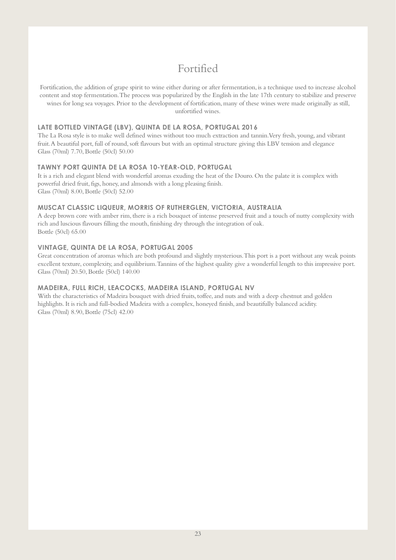# Fortified

Fortification, the addition of grape spirit to wine either during or after fermentation, is a technique used to increase alcohol content and stop fermentation. The process was popularized by the English in the late 17th century to stabilize and preserve wines for long sea voyages. Prior to the development of fortification, many of these wines were made originally as still, unfortified wines.

### **LATE BOTTLED VINTAGE (LBV), QUINTA DE LA ROSA, PORTUGAL 2016**

The La Rosa style is to make well defined wines without too much extraction and tannin. Very fresh, young, and vibrant fruit. A beautiful port, full of round, soft flavours but with an optimal structure giving this LBV tension and elegance Glass (70ml) 7.70, Bottle (50cl) 50.00

#### **TAWNY PORT QUINTA DE LA ROSA 10-YEAR-OLD, PORTUGAL**

It is a rich and elegant blend with wonderful aromas exuding the heat of the Douro. On the palate it is complex with powerful dried fruit, figs, honey, and almonds with a long pleasing finish. Glass (70ml) 8.00, Bottle (50cl) 52.00

### **MUSCAT CLASSIC LIQUEUR, MORRIS OF RUTHERGLEN, VICTORIA, AUSTRALIA**

A deep brown core with amber rim, there is a rich bouquet of intense preserved fruit and a touch of nutty complexity with rich and luscious flavours filling the mouth, finishing dry through the integration of oak. Bottle (50cl) 65.00

#### **VINTAGE, QUINTA DE LA ROSA, PORTUGAL 2005**

Great concentration of aromas which are both profound and slightly mysterious. This port is a port without any weak points excellent texture, complexity, and equilibrium. Tannins of the highest quality give a wonderful length to this impressive port. Glass (70ml) 20.50, Bottle (50cl) 140.00

### **MADEIRA, FULL RICH, LEACOCKS, MADEIRA ISLAND, PORTUGAL NV**

With the characteristics of Madeira bouquet with dried fruits, toffee, and nuts and with a deep chestnut and golden highlights. It is rich and full-bodied Madeira with a complex, honeyed finish, and beautifully balanced acidity. Glass (70ml) 8.90, Bottle (75cl) 42.00